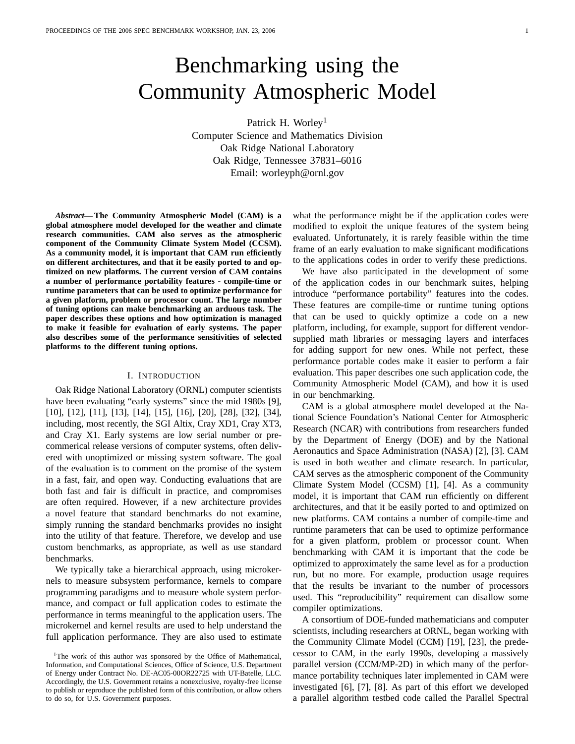# Benchmarking using the Community Atmospheric Model

Patrick H. Worley<sup>1</sup> Computer Science and Mathematics Division Oak Ridge National Laboratory Oak Ridge, Tennessee 37831–6016 Email: worleyph@ornl.gov

*Abstract***— The Community Atmospheric Model (CAM) is a global atmosphere model developed for the weather and climate research communities. CAM also serves as the atmospheric component of the Community Climate System Model (CCSM). As a community model, it is important that CAM run efficiently on different architectures, and that it be easily ported to and optimized on new platforms. The current version of CAM contains a number of performance portability features - compile-time or runtime parameters that can be used to optimize performance for a given platform, problem or processor count. The large number of tuning options can make benchmarking an arduous task. The paper describes these options and how optimization is managed to make it feasible for evaluation of early systems. The paper also describes some of the performance sensitivities of selected platforms to the different tuning options.**

#### I. INTRODUCTION

Oak Ridge National Laboratory (ORNL) computer scientists have been evaluating "early systems" since the mid 1980s [9], [10], [12], [11], [13], [14], [15], [16], [20], [28], [32], [34], including, most recently, the SGI Altix, Cray XD1, Cray XT3, and Cray X1. Early systems are low serial number or precommerical release versions of computer systems, often delivered with unoptimized or missing system software. The goal of the evaluation is to comment on the promise of the system in a fast, fair, and open way. Conducting evaluations that are both fast and fair is difficult in practice, and compromises are often required. However, if a new architecture provides a novel feature that standard benchmarks do not examine, simply running the standard benchmarks provides no insight into the utility of that feature. Therefore, we develop and use custom benchmarks, as appropriate, as well as use standard benchmarks.

We typically take a hierarchical approach, using microkernels to measure subsystem performance, kernels to compare programming paradigms and to measure whole system performance, and compact or full application codes to estimate the performance in terms meaningful to the application users. The microkernel and kernel results are used to help understand the full application performance. They are also used to estimate what the performance might be if the application codes were modified to exploit the unique features of the system being evaluated. Unfortunately, it is rarely feasible within the time frame of an early evaluation to make significant modifications to the applications codes in order to verify these predictions.

We have also participated in the development of some of the application codes in our benchmark suites, helping introduce "performance portability" features into the codes. These features are compile-time or runtime tuning options that can be used to quickly optimize a code on a new platform, including, for example, support for different vendorsupplied math libraries or messaging layers and interfaces for adding support for new ones. While not perfect, these performance portable codes make it easier to perform a fair evaluation. This paper describes one such application code, the Community Atmospheric Model (CAM), and how it is used in our benchmarking.

CAM is a global atmosphere model developed at the National Science Foundation's National Center for Atmospheric Research (NCAR) with contributions from researchers funded by the Department of Energy (DOE) and by the National Aeronautics and Space Administration (NASA) [2], [3]. CAM is used in both weather and climate research. In particular, CAM serves as the atmospheric component of the Community Climate System Model (CCSM) [1], [4]. As a community model, it is important that CAM run efficiently on different architectures, and that it be easily ported to and optimized on new platforms. CAM contains a number of compile-time and runtime parameters that can be used to optimize performance for a given platform, problem or processor count. When benchmarking with CAM it is important that the code be optimized to approximately the same level as for a production run, but no more. For example, production usage requires that the results be invariant to the number of processors used. This "reproducibility" requirement can disallow some compiler optimizations.

A consortium of DOE-funded mathematicians and computer scientists, including researchers at ORNL, began working with the Community Climate Model (CCM) [19], [23], the predecessor to CAM, in the early 1990s, developing a massively parallel version (CCM/MP-2D) in which many of the performance portability techniques later implemented in CAM were investigated [6], [7], [8]. As part of this effort we developed a parallel algorithm testbed code called the Parallel Spectral

<sup>&</sup>lt;sup>1</sup>The work of this author was sponsored by the Office of Mathematical, Information, and Computational Sciences, Office of Science, U.S. Department of Energy under Contract No. DE-AC05-00OR22725 with UT-Batelle, LLC. Accordingly, the U.S. Government retains a nonexclusive, royalty-free license to publish or reproduce the published form of this contribution, or allow others to do so, for U.S. Government purposes.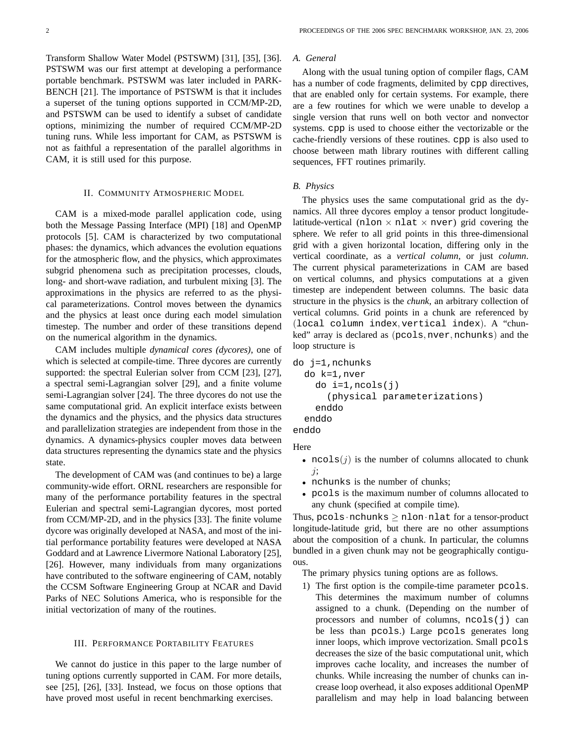Transform Shallow Water Model (PSTSWM) [31], [35], [36]. PSTSWM was our first attempt at developing a performance portable benchmark. PSTSWM was later included in PARK-BENCH [21]. The importance of PSTSWM is that it includes a superset of the tuning options supported in CCM/MP-2D, and PSTSWM can be used to identify a subset of candidate options, minimizing the number of required CCM/MP-2D tuning runs. While less important for CAM, as PSTSWM is not as faithful a representation of the parallel algorithms in CAM, it is still used for this purpose.

#### II. COMMUNITY ATMOSPHERIC MODEL

CAM is a mixed-mode parallel application code, using both the Message Passing Interface (MPI) [18] and OpenMP protocols [5]. CAM is characterized by two computational phases: the dynamics, which advances the evolution equations for the atmospheric flow, and the physics, which approximates subgrid phenomena such as precipitation processes, clouds, long- and short-wave radiation, and turbulent mixing [3]. The approximations in the physics are referred to as the physical parameterizations. Control moves between the dynamics and the physics at least once during each model simulation timestep. The number and order of these transitions depend on the numerical algorithm in the dynamics.

CAM includes multiple *dynamical cores (dycores)*, one of which is selected at compile-time. Three dycores are currently supported: the spectral Eulerian solver from CCM [23], [27], a spectral semi-Lagrangian solver [29], and a finite volume semi-Lagrangian solver [24]. The three dycores do not use the same computational grid. An explicit interface exists between the dynamics and the physics, and the physics data structures and parallelization strategies are independent from those in the dynamics. A dynamics-physics coupler moves data between data structures representing the dynamics state and the physics state.

The development of CAM was (and continues to be) a large community-wide effort. ORNL researchers are responsible for many of the performance portability features in the spectral Eulerian and spectral semi-Lagrangian dycores, most ported from CCM/MP-2D, and in the physics [33]. The finite volume dycore was originally developed at NASA, and most of the initial performance portability features were developed at NASA Goddard and at Lawrence Livermore National Laboratory [25], [26]. However, many individuals from many organizations have contributed to the software engineering of CAM, notably the CCSM Software Engineering Group at NCAR and David Parks of NEC Solutions America, who is responsible for the initial vectorization of many of the routines.

# III. PERFORMANCE PORTABILITY FEATURES

We cannot do justice in this paper to the large number of tuning options currently supported in CAM. For more details, see [25], [26], [33]. Instead, we focus on those options that have proved most useful in recent benchmarking exercises.

# *A. General*

Along with the usual tuning option of compiler flags, CAM has a number of code fragments, delimited by cpp directives, that are enabled only for certain systems. For example, there are a few routines for which we were unable to develop a single version that runs well on both vector and nonvector systems. cpp is used to choose either the vectorizable or the cache-friendly versions of these routines. cpp is also used to choose between math library routines with different calling sequences, FFT routines primarily.

#### *B. Physics*

The physics uses the same computational grid as the dynamics. All three dycores employ a tensor product longitudelatitude-vertical (nlon  $\times$  nlat  $\times$  nver) grid covering the sphere. We refer to all grid points in this three-dimensional grid with a given horizontal location, differing only in the vertical coordinate, as a *vertical column*, or just *column*. The current physical parameterizations in CAM are based on vertical columns, and physics computations at a given timestep are independent between columns. The basic data structure in the physics is the *chunk*, an arbitrary collection of vertical columns. Grid points in a chunk are referenced by (local column index, vertical index). A "chunked" array is declared as (pcols, nver, nchunks) and the loop structure is

```
do j=1,nchunks
  do k=1,nver
    do i=1,ncols(j)
      (physical parameterizations)
    enddo
  enddo
enddo
```
Here

- $ncols(j)$  is the number of columns allocated to chunk j;
- nchunks is the number of chunks;
- pcols is the maximum number of columns allocated to any chunk (specified at compile time).

Thus,  $pcols \cdot nchunks \geq nlon \cdot nlat$  for a tensor-product longitude-latitude grid, but there are no other assumptions about the composition of a chunk. In particular, the columns bundled in a given chunk may not be geographically contiguous.

The primary physics tuning options are as follows.

1) The first option is the compile-time parameter pcols. This determines the maximum number of columns assigned to a chunk. (Depending on the number of processors and number of columns, ncols(j) can be less than pcols.) Large pcols generates long inner loops, which improve vectorization. Small pcols decreases the size of the basic computational unit, which improves cache locality, and increases the number of chunks. While increasing the number of chunks can increase loop overhead, it also exposes additional OpenMP parallelism and may help in load balancing between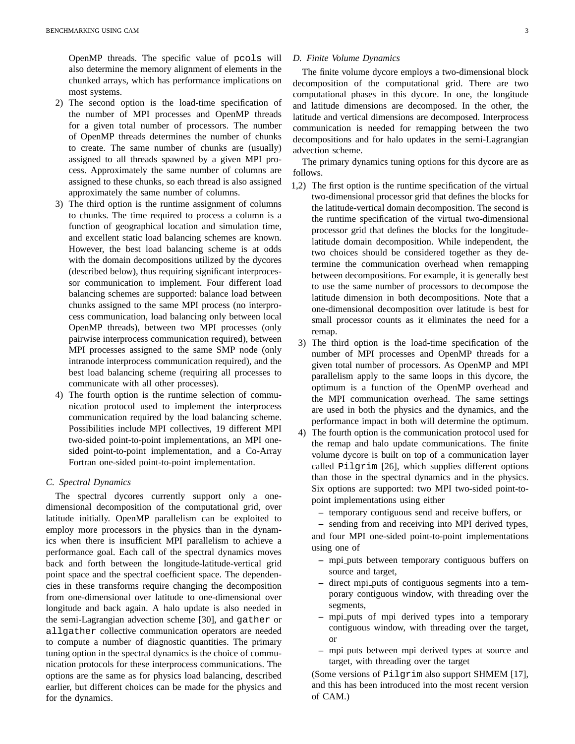OpenMP threads. The specific value of pcols will also determine the memory alignment of elements in the chunked arrays, which has performance implications on most systems.

- 2) The second option is the load-time specification of the number of MPI processes and OpenMP threads for a given total number of processors. The number of OpenMP threads determines the number of chunks to create. The same number of chunks are (usually) assigned to all threads spawned by a given MPI process. Approximately the same number of columns are assigned to these chunks, so each thread is also assigned approximately the same number of columns.
- 3) The third option is the runtime assignment of columns to chunks. The time required to process a column is a function of geographical location and simulation time, and excellent static load balancing schemes are known. However, the best load balancing scheme is at odds with the domain decompositions utilized by the dycores (described below), thus requiring significant interprocessor communication to implement. Four different load balancing schemes are supported: balance load between chunks assigned to the same MPI process (no interprocess communication, load balancing only between local OpenMP threads), between two MPI processes (only pairwise interprocess communication required), between MPI processes assigned to the same SMP node (only intranode interprocess communication required), and the best load balancing scheme (requiring all processes to communicate with all other processes).
- 4) The fourth option is the runtime selection of communication protocol used to implement the interprocess communication required by the load balancing scheme. Possibilities include MPI collectives, 19 different MPI two-sided point-to-point implementations, an MPI onesided point-to-point implementation, and a Co-Array Fortran one-sided point-to-point implementation.

# *C. Spectral Dynamics*

The spectral dycores currently support only a onedimensional decomposition of the computational grid, over latitude initially. OpenMP parallelism can be exploited to employ more processors in the physics than in the dynamics when there is insufficient MPI parallelism to achieve a performance goal. Each call of the spectral dynamics moves back and forth between the longitude-latitude-vertical grid point space and the spectral coefficient space. The dependencies in these transforms require changing the decomposition from one-dimensional over latitude to one-dimensional over longitude and back again. A halo update is also needed in the semi-Lagrangian advection scheme [30], and gather or allgather collective communication operators are needed to compute a number of diagnostic quantities. The primary tuning option in the spectral dynamics is the choice of communication protocols for these interprocess communications. The options are the same as for physics load balancing, described earlier, but different choices can be made for the physics and for the dynamics.

## *D. Finite Volume Dynamics*

The finite volume dycore employs a two-dimensional block decomposition of the computational grid. There are two computational phases in this dycore. In one, the longitude and latitude dimensions are decomposed. In the other, the latitude and vertical dimensions are decomposed. Interprocess communication is needed for remapping between the two decompositions and for halo updates in the semi-Lagrangian advection scheme.

The primary dynamics tuning options for this dycore are as follows.

- 1,2) The first option is the runtime specification of the virtual two-dimensional processor grid that defines the blocks for the latitude-vertical domain decomposition. The second is the runtime specification of the virtual two-dimensional processor grid that defines the blocks for the longitudelatitude domain decomposition. While independent, the two choices should be considered together as they determine the communication overhead when remapping between decompositions. For example, it is generally best to use the same number of processors to decompose the latitude dimension in both decompositions. Note that a one-dimensional decomposition over latitude is best for small processor counts as it eliminates the need for a remap.
	- 3) The third option is the load-time specification of the number of MPI processes and OpenMP threads for a given total number of processors. As OpenMP and MPI parallelism apply to the same loops in this dycore, the optimum is a function of the OpenMP overhead and the MPI communication overhead. The same settings are used in both the physics and the dynamics, and the performance impact in both will determine the optimum.
	- 4) The fourth option is the communication protocol used for the remap and halo update communications. The finite volume dycore is built on top of a communication layer called Pilgrim [26], which supplies different options than those in the spectral dynamics and in the physics. Six options are supported: two MPI two-sided point-topoint implementations using either
		- **–** temporary contiguous send and receive buffers, or

**–** sending from and receiving into MPI derived types, and four MPI one-sided point-to-point implementations using one of

- **–** mpi puts between temporary contiguous buffers on source and target,
- **–** direct mpi puts of contiguous segments into a temporary contiguous window, with threading over the segments,
- **–** mpi puts of mpi derived types into a temporary contiguous window, with threading over the target, or
- **–** mpi puts between mpi derived types at source and target, with threading over the target

(Some versions of Pilgrim also support SHMEM [17], and this has been introduced into the most recent version of CAM.)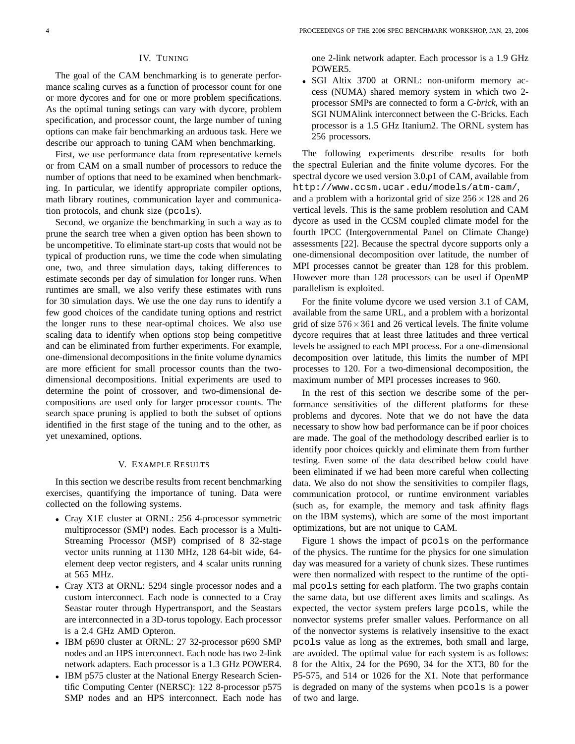# IV. TUNING

The goal of the CAM benchmarking is to generate performance scaling curves as a function of processor count for one or more dycores and for one or more problem specifications. As the optimal tuning setings can vary with dycore, problem specification, and processor count, the large number of tuning options can make fair benchmarking an arduous task. Here we describe our approach to tuning CAM when benchmarking.

First, we use performance data from representative kernels or from CAM on a small number of processors to reduce the number of options that need to be examined when benchmarking. In particular, we identify appropriate compiler options, math library routines, communication layer and communication protocols, and chunk size (pcols).

Second, we organize the benchmarking in such a way as to prune the search tree when a given option has been shown to be uncompetitive. To eliminate start-up costs that would not be typical of production runs, we time the code when simulating one, two, and three simulation days, taking differences to estimate seconds per day of simulation for longer runs. When runtimes are small, we also verify these estimates with runs for 30 simulation days. We use the one day runs to identify a few good choices of the candidate tuning options and restrict the longer runs to these near-optimal choices. We also use scaling data to identify when options stop being competitive and can be eliminated from further experiments. For example, one-dimensional decompositions in the finite volume dynamics are more efficient for small processor counts than the twodimensional decompositions. Initial experiments are used to determine the point of crossover, and two-dimensional decompositions are used only for larger processor counts. The search space pruning is applied to both the subset of options identified in the first stage of the tuning and to the other, as yet unexamined, options.

## V. EXAMPLE RESULTS

In this section we describe results from recent benchmarking exercises, quantifying the importance of tuning. Data were collected on the following systems.

- Cray X1E cluster at ORNL: 256 4-processor symmetric multiprocessor (SMP) nodes. Each processor is a Multi-Streaming Processor (MSP) comprised of 8 32-stage vector units running at 1130 MHz, 128 64-bit wide, 64 element deep vector registers, and 4 scalar units running at 565 MHz.
- Cray XT3 at ORNL: 5294 single processor nodes and a custom interconnect. Each node is connected to a Cray Seastar router through Hypertransport, and the Seastars are interconnected in a 3D-torus topology. Each processor is a 2.4 GHz AMD Opteron.
- IBM p690 cluster at ORNL: 27 32-processor p690 SMP nodes and an HPS interconnect. Each node has two 2-link network adapters. Each processor is a 1.3 GHz POWER4.
- IBM p575 cluster at the National Energy Research Scientific Computing Center (NERSC): 122 8-processor p575 SMP nodes and an HPS interconnect. Each node has

one 2-link network adapter. Each processor is a 1.9 GHz POWER5.

• SGI Altix 3700 at ORNL: non-uniform memory access (NUMA) shared memory system in which two 2 processor SMPs are connected to form a *C-brick*, with an SGI NUMAlink interconnect between the C-Bricks. Each processor is a 1.5 GHz Itanium2. The ORNL system has 256 processors.

The following experiments describe results for both the spectral Eulerian and the finite volume dycores. For the spectral dycore we used version 3.0.p1 of CAM, available from http://www.ccsm.ucar.edu/models/atm-cam/, and a problem with a horizontal grid of size  $256 \times 128$  and 26 vertical levels. This is the same problem resolution and CAM dycore as used in the CCSM coupled climate model for the fourth IPCC (Intergovernmental Panel on Climate Change) assessments [22]. Because the spectral dycore supports only a one-dimensional decomposition over latitude, the number of MPI processes cannot be greater than 128 for this problem. However more than 128 processors can be used if OpenMP parallelism is exploited.

For the finite volume dycore we used version 3.1 of CAM, available from the same URL, and a problem with a horizontal grid of size  $576 \times 361$  and 26 vertical levels. The finite volume dycore requires that at least three latitudes and three vertical levels be assigned to each MPI process. For a one-dimensional decomposition over latitude, this limits the number of MPI processes to 120. For a two-dimensional decomposition, the maximum number of MPI processes increases to 960.

In the rest of this section we describe some of the performance sensitivities of the different platforms for these problems and dycores. Note that we do not have the data necessary to show how bad performance can be if poor choices are made. The goal of the methodology described earlier is to identify poor choices quickly and eliminate them from further testing. Even some of the data described below could have been eliminated if we had been more careful when collecting data. We also do not show the sensitivities to compiler flags, communication protocol, or runtime environment variables (such as, for example, the memory and task affinity flags on the IBM systems), which are some of the most important optimizations, but are not unique to CAM.

Figure 1 shows the impact of pcols on the performance of the physics. The runtime for the physics for one simulation day was measured for a variety of chunk sizes. These runtimes were then normalized with respect to the runtime of the optimal pcols setting for each platform. The two graphs contain the same data, but use different axes limits and scalings. As expected, the vector system prefers large pcols, while the nonvector systems prefer smaller values. Performance on all of the nonvector systems is relatively insensitive to the exact pcols value as long as the extremes, both small and large, are avoided. The optimal value for each system is as follows: 8 for the Altix, 24 for the P690, 34 for the XT3, 80 for the P5-575, and 514 or 1026 for the X1. Note that performance is degraded on many of the systems when pcols is a power of two and large.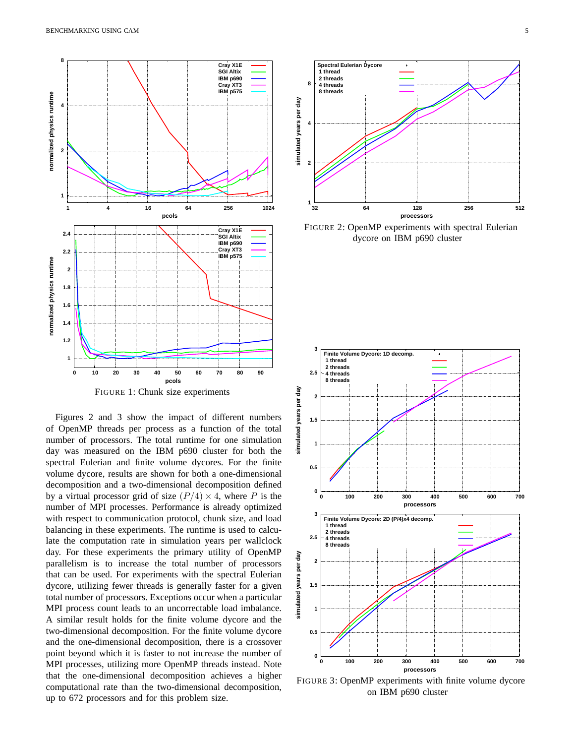

FIGURE 1: Chunk size experiments

Figures 2 and 3 show the impact of different numbers of OpenMP threads per process as a function of the total number of processors. The total runtime for one simulation day was measured on the IBM p690 cluster for both the spectral Eulerian and finite volume dycores. For the finite volume dycore, results are shown for both a one-dimensional decomposition and a two-dimensional decomposition defined by a virtual processor grid of size  $(P/4) \times 4$ , where P is the number of MPI processes. Performance is already optimized with respect to communication protocol, chunk size, and load balancing in these experiments. The runtime is used to calculate the computation rate in simulation years per wallclock day. For these experiments the primary utility of OpenMP parallelism is to increase the total number of processors that can be used. For experiments with the spectral Eulerian dycore, utilizing fewer threads is generally faster for a given total number of processors. Exceptions occur when a particular MPI process count leads to an uncorrectable load imbalance. A similar result holds for the finite volume dycore and the two-dimensional decomposition. For the finite volume dycore and the one-dimensional decomposition, there is a crossover point beyond which it is faster to not increase the number of MPI processes, utilizing more OpenMP threads instead. Note that the one-dimensional decomposition achieves a higher computational rate than the two-dimensional decomposition, up to 672 processors and for this problem size.



FIGURE 2: OpenMP experiments with spectral Eulerian dycore on IBM p690 cluster



FIGURE 3: OpenMP experiments with finite volume dycore on IBM p690 cluster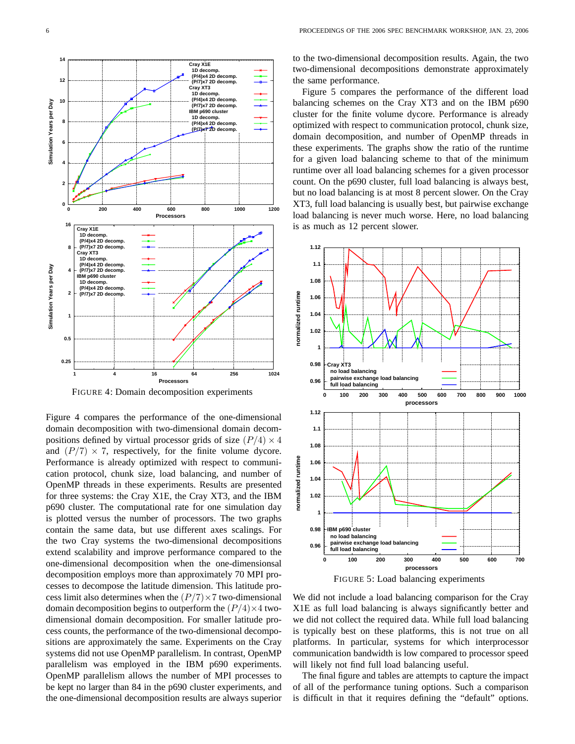

FIGURE 4: Domain decomposition experiments

Figure 4 compares the performance of the one-dimensional domain decomposition with two-dimensional domain decompositions defined by virtual processor grids of size  $(P/4) \times 4$ and  $(P/7) \times 7$ , respectively, for the finite volume dycore. Performance is already optimized with respect to communication protocol, chunk size, load balancing, and number of OpenMP threads in these experiments. Results are presented for three systems: the Cray X1E, the Cray XT3, and the IBM p690 cluster. The computational rate for one simulation day is plotted versus the number of processors. The two graphs contain the same data, but use different axes scalings. For the two Cray systems the two-dimensional decompositions extend scalability and improve performance compared to the one-dimensional decomposition when the one-dimensionsal decomposition employs more than approximately 70 MPI processes to decompose the latitude dimension. This latitude process limit also determines when the  $(P/7) \times 7$  two-dimensional domain decomposition begins to outperform the  $\left(\frac{P}{4}\right) \times 4$  twodimensional domain decomposition. For smaller latitude process counts, the performance of the two-dimensional decompositions are approximately the same. Experiments on the Cray systems did not use OpenMP parallelism. In contrast, OpenMP parallelism was employed in the IBM p690 experiments. OpenMP parallelism allows the number of MPI processes to be kept no larger than 84 in the p690 cluster experiments, and the one-dimensional decomposition results are always superior to the two-dimensional decomposition results. Again, the two two-dimensional decompositions demonstrate approximately the same performance.

Figure 5 compares the performance of the different load balancing schemes on the Cray XT3 and on the IBM p690 cluster for the finite volume dycore. Performance is already optimized with respect to communication protocol, chunk size, domain decomposition, and number of OpenMP threads in these experiments. The graphs show the ratio of the runtime for a given load balancing scheme to that of the minimum runtime over all load balancing schemes for a given processor count. On the p690 cluster, full load balancing is always best, but no load balancing is at most 8 percent slower. On the Cray XT3, full load balancing is usually best, but pairwise exchange load balancing is never much worse. Here, no load balancing is as much as 12 percent slower.





We did not include a load balancing comparison for the Cray X1E as full load balancing is always significantly better and we did not collect the required data. While full load balancing is typically best on these platforms, this is not true on all platforms. In particular, systems for which interprocessor communication bandwidth is low compared to processor speed will likely not find full load balancing useful.

The final figure and tables are attempts to capture the impact of all of the performance tuning options. Such a comparison is difficult in that it requires defining the "default" options.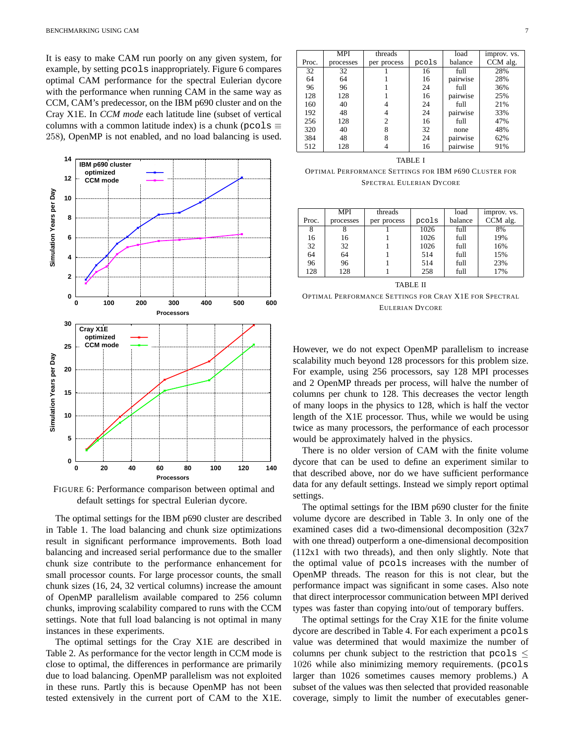It is easy to make CAM run poorly on any given system, for example, by setting pcols inappropriately. Figure 6 compares optimal CAM performance for the spectral Eulerian dycore with the performance when running CAM in the same way as CCM, CAM's predecessor, on the IBM p690 cluster and on the Cray X1E. In *CCM mode* each latitude line (subset of vertical columns with a common latitude index) is a chunk (pcols  $\equiv$ 258), OpenMP is not enabled, and no load balancing is used.



FIGURE 6: Performance comparison between optimal and default settings for spectral Eulerian dycore.

The optimal settings for the IBM p690 cluster are described in Table 1. The load balancing and chunk size optimizations result in significant performance improvements. Both load balancing and increased serial performance due to the smaller chunk size contribute to the performance enhancement for small processor counts. For large processor counts, the small chunk sizes (16, 24, 32 vertical columns) increase the amount of OpenMP parallelism available compared to 256 column chunks, improving scalability compared to runs with the CCM settings. Note that full load balancing is not optimal in many instances in these experiments.

The optimal settings for the Cray X1E are described in Table 2. As performance for the vector length in CCM mode is close to optimal, the differences in performance are primarily due to load balancing. OpenMP parallelism was not exploited in these runs. Partly this is because OpenMP has not been tested extensively in the current port of CAM to the X1E.

|       | MPI             | threads     |       | load     | improv. vs. |
|-------|-----------------|-------------|-------|----------|-------------|
| Proc. | processes       | per process | pcols | balance  | CCM alg.    |
| 32    | $\overline{32}$ |             | 16    | full     | 28%         |
| 64    | 64              |             | 16    | pairwise | 28%         |
| 96    | 96              |             | 24    | full     | 36%         |
| 128   | 128             |             | 16    | pairwise | 25%         |
| 160   | 40              |             | 24    | full     | 21%         |
| 192   | 48              |             | 24    | pairwise | 33%         |
| 256   | 128             | 2           | 16    | full     | 47%         |
| 320   | 40              | 8           | 32    | none     | 48%         |
| 384   | 48              | 8           | 24    | pairwise | 62%         |
| 512   | 128             |             | 16    | pairwise | 91%         |

#### TABLE I

OPTIMAL PERFORMANCE SETTINGS FOR IBM P690 CLUSTER FOR SPECTRAL EULERIAN DYCORE

|       | <b>MPI</b> | threads     |       | load    | improv. vs. |
|-------|------------|-------------|-------|---------|-------------|
| Proc. | processes  | per process | pcols | balance | CCM alg.    |
| 8     |            |             | 1026  | full    | 8%          |
| 16    | 16         |             | 1026  | full    | 19%         |
| 32    | 32         |             | 1026  | full    | 16%         |
| 64    | 64         |             | 514   | full    | 15%         |
| 96    | 96         |             | 514   | full    | 23%         |
| 128   | 128        |             | 258   | full    | 17%         |
|       |            |             |       |         |             |

TABLE II

OPTIMAL PERFORMANCE SETTINGS FOR CRAY X1E FOR SPECTRAL EULERIAN DYCORE

However, we do not expect OpenMP parallelism to increase scalability much beyond 128 processors for this problem size. For example, using 256 processors, say 128 MPI processes and 2 OpenMP threads per process, will halve the number of columns per chunk to 128. This decreases the vector length of many loops in the physics to 128, which is half the vector length of the X1E processor. Thus, while we would be using twice as many processors, the performance of each processor would be approximately halved in the physics.

There is no older version of CAM with the finite volume dycore that can be used to define an experiment similar to that described above, nor do we have sufficient performance data for any default settings. Instead we simply report optimal settings.

The optimal settings for the IBM p690 cluster for the finite volume dycore are described in Table 3. In only one of the examined cases did a two-dimensional decomposition (32x7 with one thread) outperform a one-dimensional decomposition (112x1 with two threads), and then only slightly. Note that the optimal value of pcols increases with the number of OpenMP threads. The reason for this is not clear, but the performance impact was significant in some cases. Also note that direct interprocessor communication between MPI derived types was faster than copying into/out of temporary buffers.

The optimal settings for the Cray X1E for the finite volume dycore are described in Table 4. For each experiment a pcols value was determined that would maximize the number of columns per chunk subject to the restriction that  $p \circ \log s \leq$ 1026 while also minimizing memory requirements. (pcols larger than 1026 sometimes causes memory problems.) A subset of the values was then selected that provided reasonable coverage, simply to limit the number of executables gener-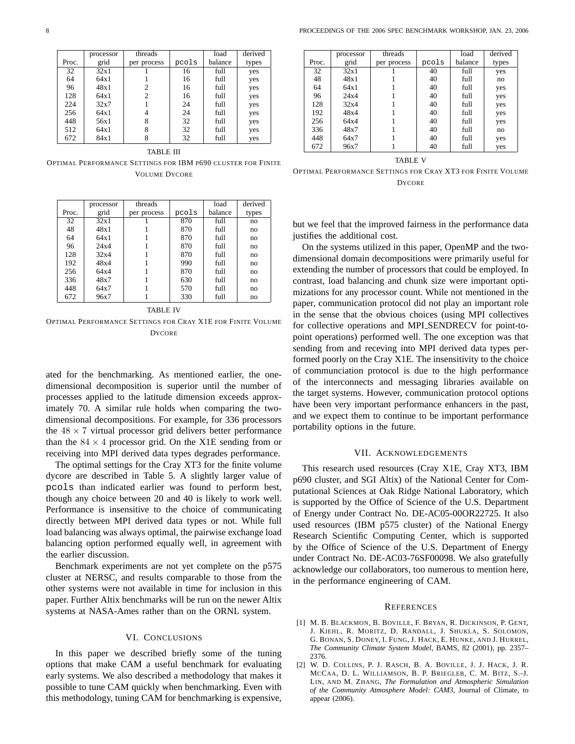|       | processor | threads     |       | load    | derived |
|-------|-----------|-------------|-------|---------|---------|
| Proc. | grid      | per process | pcols | balance | types   |
| 32    | 32x1      |             | 16    | full    | yes     |
| 64    | 64x1      |             | 16    | full    | yes     |
| 96    | 48x1      |             | 16    | full    | yes     |
| 128   | 64x1      | 2           | 16    | full    | yes     |
| 224   | 32x7      |             | 24    | full    | yes     |
| 256   | 64x1      | 4           | 24    | full    | yes     |
| 448   | 56x1      | 8           | 32    | full    | yes     |
| 512   | 64x1      | 8           | 32    | full    | yes     |
| 672   | 84x1      |             | 32    | full    | yes     |

TABLE III

OPTIMAL PERFORMANCE SETTINGS FOR IBM P690 CLUSTER FOR FINITE VOLUME DYCORE

|       | processor | threads     |       | load    | derived |
|-------|-----------|-------------|-------|---------|---------|
| Proc. | grid      | per process | pcols | balance | types   |
| 32    | 32x1      |             | 870   | full    | no      |
| 48    | 48x1      |             | 870   | full    | no      |
| 64    | 64x1      |             | 870   | full    | no      |
| 96    | 24x4      |             | 870   | full    | no      |
| 128   | 32x4      |             | 870   | full    | no      |
| 192   | 48x4      |             | 990   | full    | no      |
| 256   | 64x4      |             | 870   | full    | no      |
| 336   | 48x7      |             | 630   | full    | no      |
| 448   | 64x7      |             | 570   | full    | no      |
| 672   | 96x7      |             | 330   | full    | no      |

TABLE IV

OPTIMAL PERFORMANCE SETTINGS FOR CRAY X1E FOR FINITE VOLUME **DYCORE** 

ated for the benchmarking. As mentioned earlier, the onedimensional decomposition is superior until the number of processes applied to the latitude dimension exceeds approximately 70. A similar rule holds when comparing the twodimensional decompositions. For example, for 336 processors the  $48 \times 7$  virtual processor grid delivers better performance than the  $84 \times 4$  processor grid. On the X1E sending from or receiving into MPI derived data types degrades performance.

The optimal settings for the Cray XT3 for the finite volume dycore are described in Table 5. A slightly larger value of pcols than indicated earlier was found to perform best, though any choice between 20 and 40 is likely to work well. Performance is insensitive to the choice of communicating directly between MPI derived data types or not. While full load balancing was always optimal, the pairwise exchange load balancing option performed equally well, in agreement with the earlier discussion.

Benchmark experiments are not yet complete on the p575 cluster at NERSC, and results comparable to those from the other systems were not available in time for inclusion in this paper. Further Altix benchmarks will be run on the newer Altix systems at NASA-Ames rather than on the ORNL system.

#### VI. CONCLUSIONS

In this paper we described briefly some of the tuning options that make CAM a useful benchmark for evaluating early systems. We also described a methodology that makes it possible to tune CAM quickly when benchmarking. Even with this methodology, tuning CAM for benchmarking is expensive,

|       | processor | threads     |       | load    | derived |
|-------|-----------|-------------|-------|---------|---------|
| Proc. | grid      | per process | pcols | balance | types   |
| 32    | 32x1      |             | 40    | full    | yes     |
| 48    | 48x1      |             | 40    | full    | no      |
| 64    | 64x1      |             | 40    | full    | yes     |
| 96    | 24x4      |             | 40    | full    | yes     |
| 128   | 32x4      |             | 40    | full    | yes     |
| 192   | 48x4      |             | 40    | full    | yes     |
| 256   | 64x4      |             | 40    | full    | yes     |
| 336   | 48x7      |             | 40    | full    | no      |
| 448   | 64x7      |             | 40    | full    | yes     |
| 672   | 96x7      |             | 40    | full    | yes     |
|       |           |             |       |         |         |

TABLE V

OPTIMAL PERFORMANCE SETTINGS FOR CRAY XT3 FOR FINITE VOLUME **DYCORE** 

but we feel that the improved fairness in the performance data justifies the additional cost.

On the systems utilized in this paper, OpenMP and the twodimensional domain decompositions were primarily useful for extending the number of processors that could be employed. In contrast, load balancing and chunk size were important optimizations for any processor count. While not mentioned in the paper, communication protocol did not play an important role in the sense that the obvious choices (using MPI collectives for collective operations and MPI SENDRECV for point-topoint operations) performed well. The one exception was that sending from and receving into MPI derived data types performed poorly on the Cray X1E. The insensitivity to the choice of communciation protocol is due to the high performance of the interconnects and messaging libraries available on the target systems. However, communication protocol options have been very important performance enhancers in the past, and we expect them to continue to be important performance portability options in the future.

#### VII. ACKNOWLEDGEMENTS

This research used resources (Cray X1E, Cray XT3, IBM p690 cluster, and SGI Altix) of the National Center for Computational Sciences at Oak Ridge National Laboratory, which is supported by the Office of Science of the U.S. Department of Energy under Contract No. DE-AC05-00OR22725. It also used resources (IBM p575 cluster) of the National Energy Research Scientific Computing Center, which is supported by the Office of Science of the U.S. Department of Energy under Contract No. DE-AC03-76SF00098. We also gratefully acknowledge our collaborators, too numerous to mention here, in the performance engineering of CAM.

#### **REFERENCES**

- [1] M. B. BLACKMON, B. BOVILLE, F. BRYAN, R. DICKINSON, P. GENT, J. KIEHL, R. MORITZ, D. RANDALL, J. SHUKLA, S. SOLOMON, G. BONAN, S. DONEY, I. FUNG, J. HACK, E. HUNKE, AND J. HURREL, *The Community Climate System Model*, BAMS, 82 (2001), pp. 2357– 2376.
- [2] W. D. COLLINS, P. J. RASCH, B. A. BOVILLE, J. J. HACK, J. R. MCCAA, D. L. WILLIAMSON, B. P. BRIEGLEB, C. M. BITZ, S.-J. LIN, AND M. ZHANG, *The Formulation and Atmospheric Simulation of the Community Atmosphere Model: CAM3*, Journal of Climate, to appear (2006).